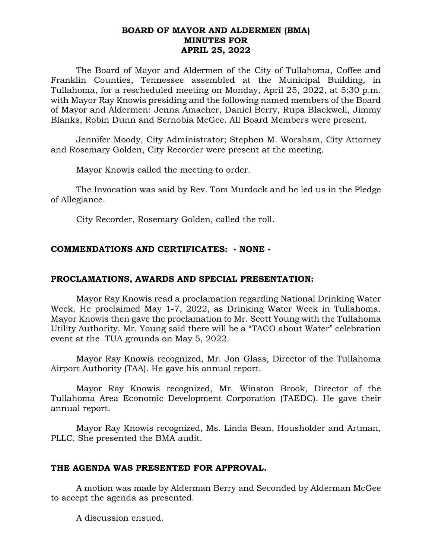### **BOARD OF MAYOR AND ALDERMEN (BMA) MINUTES FOR APRIL 25, 2022**

The Board of Mayor and Aldermen of the City of Tullahoma, Coffee and Franklin Counties, Tennessee assembled at the Municipal Building, in Tullahoma, for a rescheduled meeting on Monday, April 25, 2022, at 5:30 p.m. with Mayor Ray Knowis presiding and the following named members of the Board of Mayor and Aldermen: Jenna Amacher, Daniel Berry, Rupa Blackwell, Jimmy Blanks, Robin Dunn and Sernobia McGee. All Board Members were present.

Jennifer Moody, City Administrator; Stephen M. Worsham, City Attorney and Rosemary Golden, City Recorder were present at the meeting.

Mayor Knowis called the meeting to order.

The Invocation was said by Rev. Tom Murdock and he led us in the Pledge of Allegiance.

City Recorder, Rosemary Golden, called the roll.

# **COMMENDATIONS AND CERTIFICATES: - NONE -**

# **PROCLAMATIONS, AWARDS AND SPECIAL PRESENTATION:**

Mayor Ray Knowis read a proclamation regarding National Drinking Water Week. He proclaimed May 1-7, 2022, as Drinking Water Week in Tullahoma. Mayor Knowis then gave the proclamation to Mr. Scott Young with the Tullahoma Utility Authority. Mr. Young said there will be a "TACO about Water" celebration event at the TUA grounds on May 5, 2022.

Mayor Ray Knowis recognized, Mr. Jon Glass, Director of the Tullahoma Airport Authority (TAA). He gave his annual report.

Mayor Ray Knowis recognized, Mr. Winston Brook, Director of the Tullahoma Area Economic Development Corporation (TAEDC). He gave their annual report.

Mayor Ray Knowis recognized, Ms. Linda Bean, Housholder and Artman, PLLC. She presented the BMA audit.

# **THE AGENDA WAS PRESENTED FOR APPROVAL.**

A motion was made by Alderman Berry and Seconded by Alderman McGee to accept the agenda as presented.

A discussion ensued.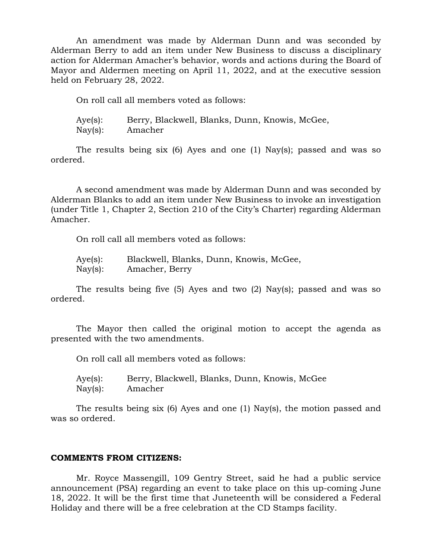An amendment was made by Alderman Dunn and was seconded by Alderman Berry to add an item under New Business to discuss a disciplinary action for Alderman Amacher's behavior, words and actions during the Board of Mayor and Aldermen meeting on April 11, 2022, and at the executive session held on February 28, 2022.

On roll call all members voted as follows:

Aye(s): Berry, Blackwell, Blanks, Dunn, Knowis, McGee, Nay(s): Amacher

The results being six (6) Ayes and one (1) Nay(s); passed and was so ordered.

A second amendment was made by Alderman Dunn and was seconded by Alderman Blanks to add an item under New Business to invoke an investigation (under Title 1, Chapter 2, Section 210 of the City's Charter) regarding Alderman Amacher.

On roll call all members voted as follows:

| Aye(s): | Blackwell, Blanks, Dunn, Knowis, McGee, |
|---------|-----------------------------------------|
| Nay(s): | Amacher, Berry                          |

The results being five (5) Ayes and two (2) Nay(s); passed and was so ordered.

The Mayor then called the original motion to accept the agenda as presented with the two amendments.

On roll call all members voted as follows:

Aye(s): Berry, Blackwell, Blanks, Dunn, Knowis, McGee Nay(s): Amacher

The results being six (6) Ayes and one (1) Nay(s), the motion passed and was so ordered.

### **COMMENTS FROM CITIZENS:**

Mr. Royce Massengill, 109 Gentry Street, said he had a public service announcement (PSA) regarding an event to take place on this up-coming June 18, 2022. It will be the first time that Juneteenth will be considered a Federal Holiday and there will be a free celebration at the CD Stamps facility.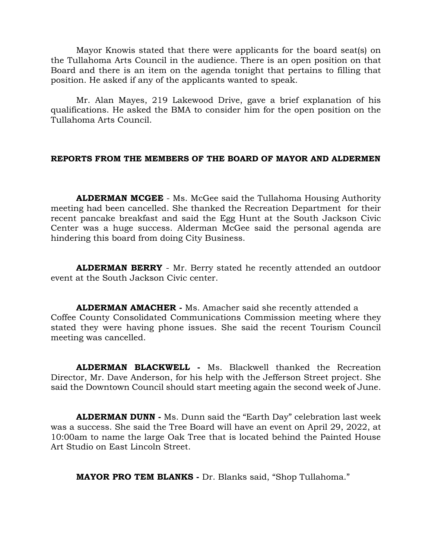Mayor Knowis stated that there were applicants for the board seat(s) on the Tullahoma Arts Council in the audience. There is an open position on that Board and there is an item on the agenda tonight that pertains to filling that position. He asked if any of the applicants wanted to speak.

Mr. Alan Mayes, 219 Lakewood Drive, gave a brief explanation of his qualifications. He asked the BMA to consider him for the open position on the Tullahoma Arts Council.

### **REPORTS FROM THE MEMBERS OF THE BOARD OF MAYOR AND ALDERMEN**

**ALDERMAN MCGEE** - Ms. McGee said the Tullahoma Housing Authority meeting had been cancelled. She thanked the Recreation Department for their recent pancake breakfast and said the Egg Hunt at the South Jackson Civic Center was a huge success. Alderman McGee said the personal agenda are hindering this board from doing City Business.

**ALDERMAN BERRY** - Mr. Berry stated he recently attended an outdoor event at the South Jackson Civic center.

**ALDERMAN AMACHER -** Ms. Amacher said she recently attended a Coffee County Consolidated Communications Commission meeting where they stated they were having phone issues. She said the recent Tourism Council meeting was cancelled.

**ALDERMAN BLACKWELL -** Ms. Blackwell thanked the Recreation Director, Mr. Dave Anderson, for his help with the Jefferson Street project. She said the Downtown Council should start meeting again the second week of June.

**ALDERMAN DUNN -** Ms. Dunn said the "Earth Day" celebration last week was a success. She said the Tree Board will have an event on April 29, 2022, at 10:00am to name the large Oak Tree that is located behind the Painted House Art Studio on East Lincoln Street.

**MAYOR PRO TEM BLANKS -** Dr. Blanks said, "Shop Tullahoma."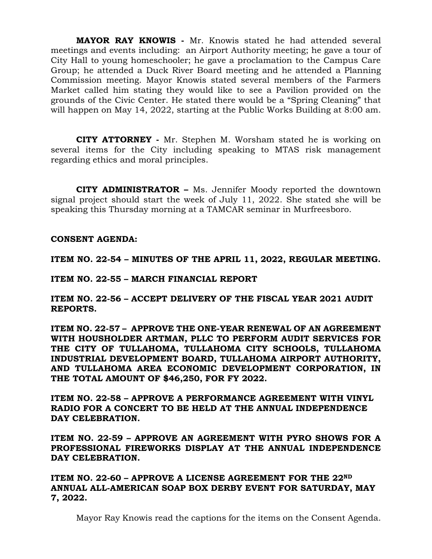**MAYOR RAY KNOWIS -** Mr. Knowis stated he had attended several meetings and events including: an Airport Authority meeting; he gave a tour of City Hall to young homeschooler; he gave a proclamation to the Campus Care Group; he attended a Duck River Board meeting and he attended a Planning Commission meeting. Mayor Knowis stated several members of the Farmers Market called him stating they would like to see a Pavilion provided on the grounds of the Civic Center. He stated there would be a "Spring Cleaning" that will happen on May 14, 2022, starting at the Public Works Building at 8:00 am.

 **CITY ATTORNEY -** Mr. Stephen M. Worsham stated he is working on several items for the City including speaking to MTAS risk management regarding ethics and moral principles.

**CITY ADMINISTRATOR –** Ms. Jennifer Moody reported the downtown signal project should start the week of July 11, 2022. She stated she will be speaking this Thursday morning at a TAMCAR seminar in Murfreesboro.

**CONSENT AGENDA:**

**ITEM NO. 22-54 – MINUTES OF THE APRIL 11, 2022, REGULAR MEETING.**

**ITEM NO. 22-55 – MARCH FINANCIAL REPORT**

**ITEM NO. 22-56 – ACCEPT DELIVERY OF THE FISCAL YEAR 2021 AUDIT REPORTS.**

**ITEM NO. 22-57 – APPROVE THE ONE-YEAR RENEWAL OF AN AGREEMENT WITH HOUSHOLDER ARTMAN, PLLC TO PERFORM AUDIT SERVICES FOR THE CITY OF TULLAHOMA, TULLAHOMA CITY SCHOOLS, TULLAHOMA INDUSTRIAL DEVELOPMENT BOARD, TULLAHOMA AIRPORT AUTHORITY, AND TULLAHOMA AREA ECONOMIC DEVELOPMENT CORPORATION, IN THE TOTAL AMOUNT OF \$46,250, FOR FY 2022.**

**ITEM NO. 22-58 – APPROVE A PERFORMANCE AGREEMENT WITH VINYL RADIO FOR A CONCERT TO BE HELD AT THE ANNUAL INDEPENDENCE DAY CELEBRATION.**

**ITEM NO. 22-59 – APPROVE AN AGREEMENT WITH PYRO SHOWS FOR A PROFESSIONAL FIREWORKS DISPLAY AT THE ANNUAL INDEPENDENCE DAY CELEBRATION.**

**ITEM NO. 22-60 – APPROVE A LICENSE AGREEMENT FOR THE 22ND ANNUAL ALL-AMERICAN SOAP BOX DERBY EVENT FOR SATURDAY, MAY 7, 2022.**

Mayor Ray Knowis read the captions for the items on the Consent Agenda.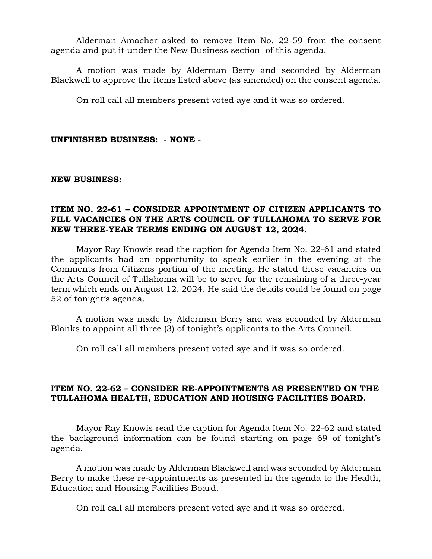Alderman Amacher asked to remove Item No. 22-59 from the consent agenda and put it under the New Business section of this agenda.

A motion was made by Alderman Berry and seconded by Alderman Blackwell to approve the items listed above (as amended) on the consent agenda.

On roll call all members present voted aye and it was so ordered.

### **UNFINISHED BUSINESS: - NONE -**

#### **NEW BUSINESS:**

# **ITEM NO. 22-61 – CONSIDER APPOINTMENT OF CITIZEN APPLICANTS TO FILL VACANCIES ON THE ARTS COUNCIL OF TULLAHOMA TO SERVE FOR NEW THREE-YEAR TERMS ENDING ON AUGUST 12, 2024.**

Mayor Ray Knowis read the caption for Agenda Item No. 22-61 and stated the applicants had an opportunity to speak earlier in the evening at the Comments from Citizens portion of the meeting. He stated these vacancies on the Arts Council of Tullahoma will be to serve for the remaining of a three-year term which ends on August 12, 2024. He said the details could be found on page 52 of tonight's agenda.

A motion was made by Alderman Berry and was seconded by Alderman Blanks to appoint all three (3) of tonight's applicants to the Arts Council.

On roll call all members present voted aye and it was so ordered.

# **ITEM NO. 22-62 – CONSIDER RE-APPOINTMENTS AS PRESENTED ON THE TULLAHOMA HEALTH, EDUCATION AND HOUSING FACILITIES BOARD.**

Mayor Ray Knowis read the caption for Agenda Item No. 22-62 and stated the background information can be found starting on page 69 of tonight's agenda.

A motion was made by Alderman Blackwell and was seconded by Alderman Berry to make these re-appointments as presented in the agenda to the Health, Education and Housing Facilities Board.

On roll call all members present voted aye and it was so ordered.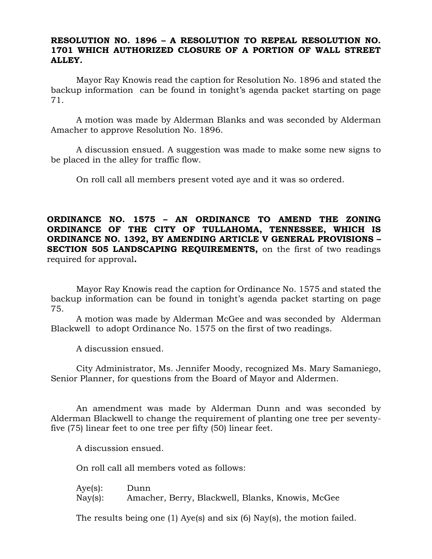### **RESOLUTION NO. 1896 – A RESOLUTION TO REPEAL RESOLUTION NO. 1701 WHICH AUTHORIZED CLOSURE OF A PORTION OF WALL STREET ALLEY.**

Mayor Ray Knowis read the caption for Resolution No. 1896 and stated the backup information can be found in tonight's agenda packet starting on page 71.

A motion was made by Alderman Blanks and was seconded by Alderman Amacher to approve Resolution No. 1896.

A discussion ensued. A suggestion was made to make some new signs to be placed in the alley for traffic flow.

On roll call all members present voted aye and it was so ordered.

**ORDINANCE NO. 1575 – AN ORDINANCE TO AMEND THE ZONING ORDINANCE OF THE CITY OF TULLAHOMA, TENNESSEE, WHICH IS ORDINANCE NO. 1392, BY AMENDING ARTICLE V GENERAL PROVISIONS – SECTION 505 LANDSCAPING REQUIREMENTS,** on the first of two readings required for approval**.**

Mayor Ray Knowis read the caption for Ordinance No. 1575 and stated the backup information can be found in tonight's agenda packet starting on page 75.

A motion was made by Alderman McGee and was seconded by Alderman Blackwell to adopt Ordinance No. 1575 on the first of two readings.

A discussion ensued.

City Administrator, Ms. Jennifer Moody, recognized Ms. Mary Samaniego, Senior Planner, for questions from the Board of Mayor and Aldermen.

An amendment was made by Alderman Dunn and was seconded by Alderman Blackwell to change the requirement of planting one tree per seventyfive (75) linear feet to one tree per fifty (50) linear feet.

A discussion ensued.

On roll call all members voted as follows:

Aye(s): Dunn Nay(s): Amacher, Berry, Blackwell, Blanks, Knowis, McGee

The results being one (1) Aye(s) and six (6) Nay(s), the motion failed.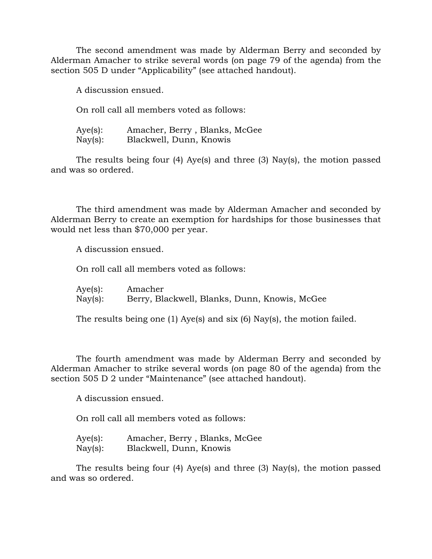The second amendment was made by Alderman Berry and seconded by Alderman Amacher to strike several words (on page 79 of the agenda) from the section 505 D under "Applicability" (see attached handout).

A discussion ensued.

On roll call all members voted as follows:

Aye(s): Amacher, Berry , Blanks, McGee Nay(s): Blackwell, Dunn, Knowis

The results being four (4) Aye(s) and three (3) Nay(s), the motion passed and was so ordered.

The third amendment was made by Alderman Amacher and seconded by Alderman Berry to create an exemption for hardships for those businesses that would net less than \$70,000 per year.

A discussion ensued.

On roll call all members voted as follows:

| Aye(s): | Amacher                                       |  |  |
|---------|-----------------------------------------------|--|--|
| Nay(s): | Berry, Blackwell, Blanks, Dunn, Knowis, McGee |  |  |

The results being one (1) Aye(s) and six (6) Nay(s), the motion failed.

The fourth amendment was made by Alderman Berry and seconded by Alderman Amacher to strike several words (on page 80 of the agenda) from the section 505 D 2 under "Maintenance" (see attached handout).

A discussion ensued.

On roll call all members voted as follows:

| Aye(s):           | Amacher, Berry, Blanks, McGee |
|-------------------|-------------------------------|
| $\text{Nay}(s)$ : | Blackwell, Dunn, Knowis       |

The results being four (4) Aye(s) and three (3) Nay(s), the motion passed and was so ordered.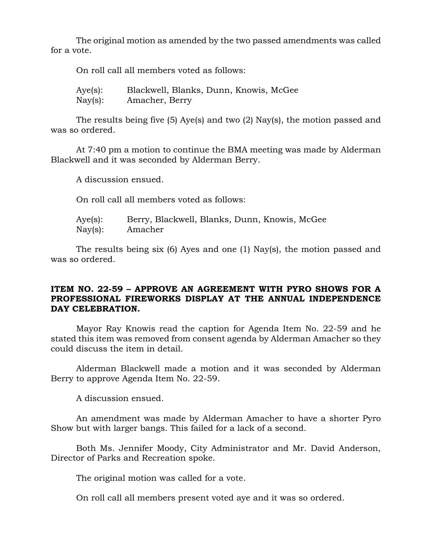The original motion as amended by the two passed amendments was called for a vote.

| On roll call all members voted as follows: |  |  |  |  |  |
|--------------------------------------------|--|--|--|--|--|
|--------------------------------------------|--|--|--|--|--|

Aye(s): Blackwell, Blanks, Dunn, Knowis, McGee Nay(s): Amacher, Berry

The results being five (5) Aye(s) and two (2) Nay(s), the motion passed and was so ordered.

At 7:40 pm a motion to continue the BMA meeting was made by Alderman Blackwell and it was seconded by Alderman Berry.

A discussion ensued.

On roll call all members voted as follows:

| Aye(s):           | Berry, Blackwell, Blanks, Dunn, Knowis, McGee |
|-------------------|-----------------------------------------------|
| $\text{Nay}(s)$ : | Amacher                                       |

The results being six (6) Ayes and one (1) Nay(s), the motion passed and was so ordered.

# **ITEM NO. 22-59 – APPROVE AN AGREEMENT WITH PYRO SHOWS FOR A PROFESSIONAL FIREWORKS DISPLAY AT THE ANNUAL INDEPENDENCE DAY CELEBRATION.**

Mayor Ray Knowis read the caption for Agenda Item No. 22-59 and he stated this item was removed from consent agenda by Alderman Amacher so they could discuss the item in detail.

Alderman Blackwell made a motion and it was seconded by Alderman Berry to approve Agenda Item No. 22-59.

A discussion ensued.

An amendment was made by Alderman Amacher to have a shorter Pyro Show but with larger bangs. This failed for a lack of a second.

Both Ms. Jennifer Moody, City Administrator and Mr. David Anderson, Director of Parks and Recreation spoke.

The original motion was called for a vote.

On roll call all members present voted aye and it was so ordered.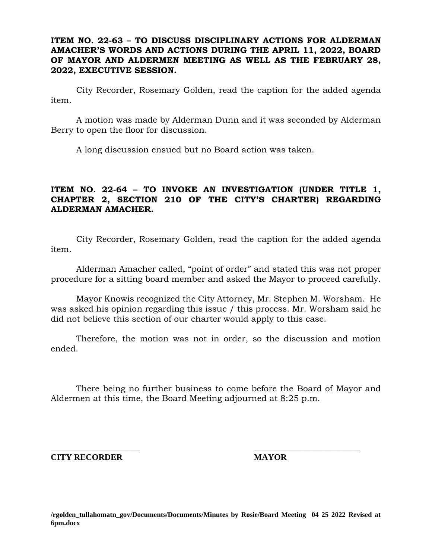### **ITEM NO. 22-63 – TO DISCUSS DISCIPLINARY ACTIONS FOR ALDERMAN AMACHER'S WORDS AND ACTIONS DURING THE APRIL 11, 2022, BOARD OF MAYOR AND ALDERMEN MEETING AS WELL AS THE FEBRUARY 28, 2022, EXECUTIVE SESSION.**

City Recorder, Rosemary Golden, read the caption for the added agenda item.

A motion was made by Alderman Dunn and it was seconded by Alderman Berry to open the floor for discussion.

A long discussion ensued but no Board action was taken.

# **ITEM NO. 22-64 – TO INVOKE AN INVESTIGATION (UNDER TITLE 1, CHAPTER 2, SECTION 210 OF THE CITY'S CHARTER) REGARDING ALDERMAN AMACHER.**

City Recorder, Rosemary Golden, read the caption for the added agenda item.

Alderman Amacher called, "point of order" and stated this was not proper procedure for a sitting board member and asked the Mayor to proceed carefully.

Mayor Knowis recognized the City Attorney, Mr. Stephen M. Worsham. He was asked his opinion regarding this issue / this process. Mr. Worsham said he did not believe this section of our charter would apply to this case.

Therefore, the motion was not in order, so the discussion and motion ended.

There being no further business to come before the Board of Mayor and Aldermen at this time, the Board Meeting adjourned at 8:25 p.m.

\_\_\_\_\_\_\_\_\_\_\_\_\_\_\_\_\_\_\_\_\_ \_\_\_\_\_\_\_\_\_\_\_\_\_\_\_\_\_\_\_\_\_\_\_\_\_

**CITY RECORDER MAYOR**